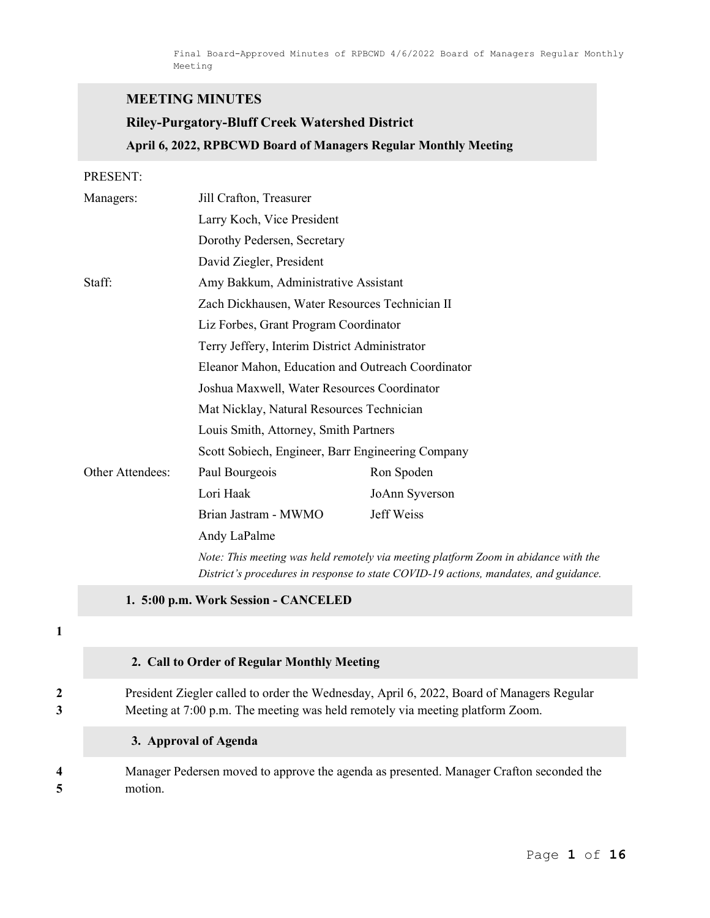## MEETING MINUTES

# Riley-Purgatory-Bluff Creek Watershed District April 6, 2022, RPBCWD Board of Managers Regular Monthly Meeting

#### PRESENT:

| Managers:        | Jill Crafton, Treasurer                                                                                                                                                     |                |  |
|------------------|-----------------------------------------------------------------------------------------------------------------------------------------------------------------------------|----------------|--|
|                  | Larry Koch, Vice President                                                                                                                                                  |                |  |
|                  | Dorothy Pedersen, Secretary                                                                                                                                                 |                |  |
|                  | David Ziegler, President                                                                                                                                                    |                |  |
| Staff:           | Amy Bakkum, Administrative Assistant                                                                                                                                        |                |  |
|                  | Zach Dickhausen, Water Resources Technician II                                                                                                                              |                |  |
|                  | Liz Forbes, Grant Program Coordinator                                                                                                                                       |                |  |
|                  | Terry Jeffery, Interim District Administrator                                                                                                                               |                |  |
|                  | Eleanor Mahon, Education and Outreach Coordinator                                                                                                                           |                |  |
|                  | Joshua Maxwell, Water Resources Coordinator                                                                                                                                 |                |  |
|                  | Mat Nicklay, Natural Resources Technician                                                                                                                                   |                |  |
|                  | Louis Smith, Attorney, Smith Partners                                                                                                                                       |                |  |
|                  | Scott Sobiech, Engineer, Barr Engineering Company                                                                                                                           |                |  |
| Other Attendees: | Paul Bourgeois                                                                                                                                                              | Ron Spoden     |  |
|                  | Lori Haak                                                                                                                                                                   | JoAnn Syverson |  |
|                  | Brian Jastram - MWMO                                                                                                                                                        | Jeff Weiss     |  |
|                  | Andy LaPalme                                                                                                                                                                |                |  |
|                  | Note: This meeting was held remotely via meeting platform Zoom in abidance with the<br>District's procedures in response to state COVID-19 actions, mandates, and guidance. |                |  |

1. 5:00 p.m. Work Session - CANCELED

1

#### 2. Call to Order of Regular Monthly Meeting

2 President Ziegler called to order the Wednesday, April 6, 2022, Board of Managers Regular 3 Meeting at 7:00 p.m. The meeting was held remotely via meeting platform Zoom.

3. Approval of Agenda

4 Manager Pedersen moved to approve the agenda as presented. Manager Crafton seconded the 5 motion.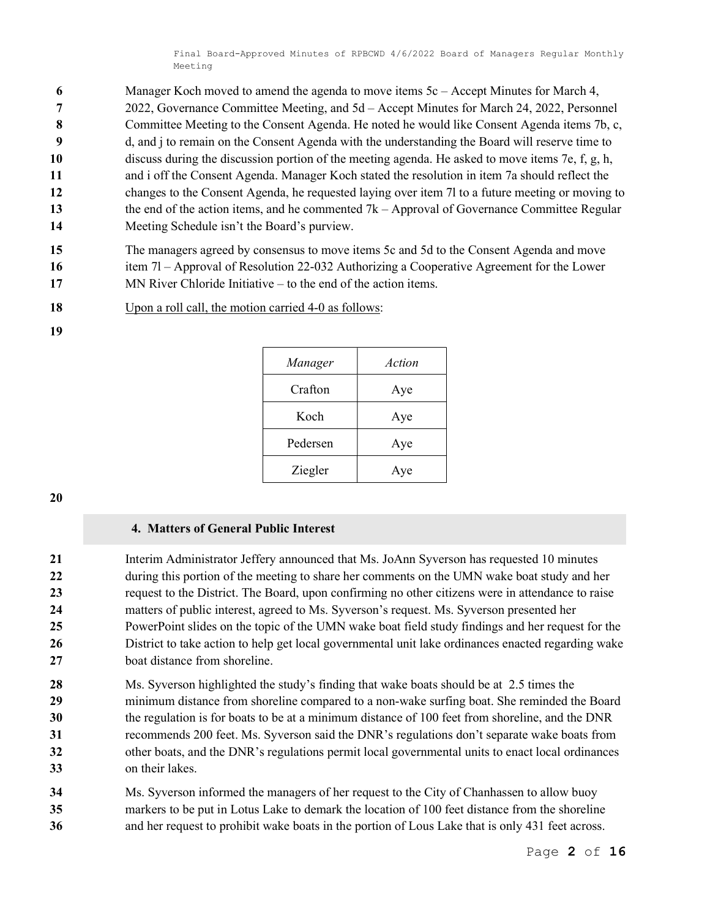- 6 Manager Koch moved to amend the agenda to move items 5c Accept Minutes for March 4, 7 2022, Governance Committee Meeting, and 5d – Accept Minutes for March 24, 2022, Personnel 8 Committee Meeting to the Consent Agenda. He noted he would like Consent Agenda items 7b, c, 9 d, and j to remain on the Consent Agenda with the understanding the Board will reserve time to 10 discuss during the discussion portion of the meeting agenda. He asked to move items 7e, f, g, h, 11 and i off the Consent Agenda. Manager Koch stated the resolution in item 7a should reflect the 12 changes to the Consent Agenda, he requested laying over item 7l to a future meeting or moving to 13 the end of the action items, and he commented 7k – Approval of Governance Committee Regular
- 14 Meeting Schedule isn't the Board's purview.
- 15 The managers agreed by consensus to move items 5c and 5d to the Consent Agenda and move
- 16 item 7l Approval of Resolution 22-032 Authorizing a Cooperative Agreement for the Lower
- 17 MN River Chloride Initiative to the end of the action items.
- 18 Upon a roll call, the motion carried 4-0 as follows:

| Manager  | Action |
|----------|--------|
| Crafton  | Aye    |
| Koch     | Aye    |
| Pedersen | Aye    |
| Ziegler  | Aye    |

19

### 4. Matters of General Public Interest

21 Interim Administrator Jeffery announced that Ms. JoAnn Syverson has requested 10 minutes 22 during this portion of the meeting to share her comments on the UMN wake boat study and her 23 request to the District. The Board, upon confirming no other citizens were in attendance to raise 24 matters of public interest, agreed to Ms. Syverson's request. Ms. Syverson presented her 25 PowerPoint slides on the topic of the UMN wake boat field study findings and her request for the 26 District to take action to help get local governmental unit lake ordinances enacted regarding wake 27 boat distance from shoreline.

- 28 Ms. Syverson highlighted the study's finding that wake boats should be at 2.5 times the 29 minimum distance from shoreline compared to a non-wake surfing boat. She reminded the Board 30 the regulation is for boats to be at a minimum distance of 100 feet from shoreline, and the DNR 31 recommends 200 feet. Ms. Syverson said the DNR's regulations don't separate wake boats from 32 other boats, and the DNR's regulations permit local governmental units to enact local ordinances 33 on their lakes.
- 34 Ms. Syverson informed the managers of her request to the City of Chanhassen to allow buoy 35 markers to be put in Lotus Lake to demark the location of 100 feet distance from the shoreline 36 and her request to prohibit wake boats in the portion of Lous Lake that is only 431 feet across.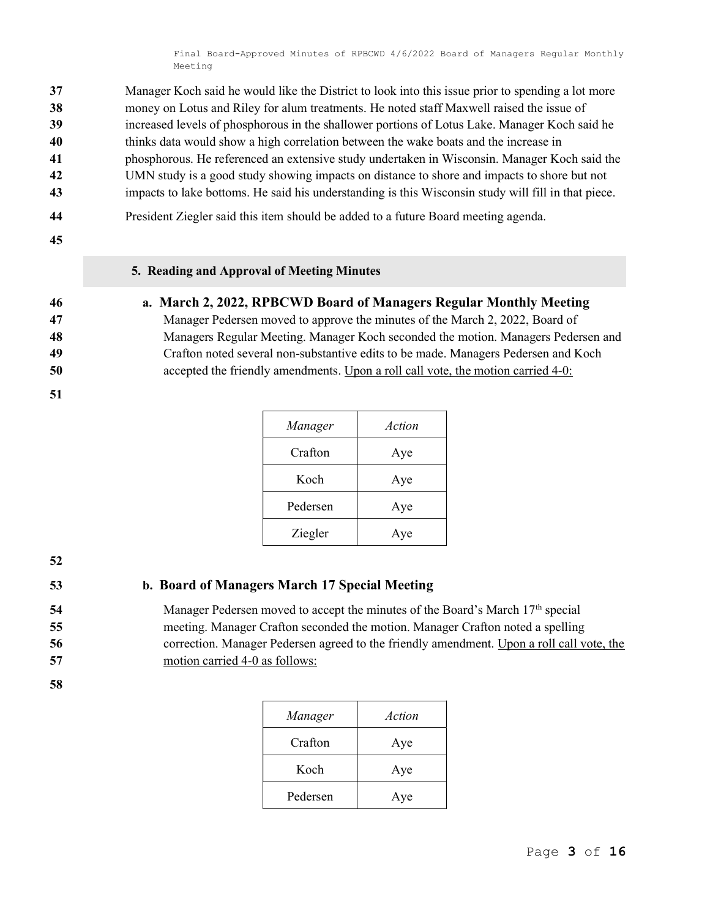Manager Koch said he would like the District to look into this issue prior to spending a lot more money on Lotus and Riley for alum treatments. He noted staff Maxwell raised the issue of increased levels of phosphorous in the shallower portions of Lotus Lake. Manager Koch said he thinks data would show a high correlation between the wake boats and the increase in phosphorous. He referenced an extensive study undertaken in Wisconsin. Manager Koch said the UMN study is a good study showing impacts on distance to shore and impacts to shore but not impacts to lake bottoms. He said his understanding is this Wisconsin study will fill in that piece.

- 44 President Ziegler said this item should be added to a future Board meeting agenda.
- 45

#### 5. Reading and Approval of Meeting Minutes

#### 46 a. March 2, 2022, RPBCWD Board of Managers Regular Monthly Meeting

Manager Pedersen moved to approve the minutes of the March 2, 2022, Board of Managers Regular Meeting. Manager Koch seconded the motion. Managers Pedersen and Crafton noted several non-substantive edits to be made. Managers Pedersen and Koch accepted the friendly amendments. Upon a roll call vote, the motion carried 4-0:

51

| Manager  | Action |
|----------|--------|
| Crafton  | Aye    |
| Koch     | Aye    |
| Pedersen | Aye    |
| Ziegler  | Aye    |

52

# 53 b. Board of Managers March 17 Special Meeting

- 54 Manager Pedersen moved to accept the minutes of the Board's March 17<sup>th</sup> special 55 meeting. Manager Crafton seconded the motion. Manager Crafton noted a spelling
- 56 correction. Manager Pedersen agreed to the friendly amendment. Upon a roll call vote, the 57 motion carried 4-0 as follows:

| Manager  | Action |
|----------|--------|
| Crafton  | Aye    |
| Koch     | Aye    |
| Pedersen | Aye    |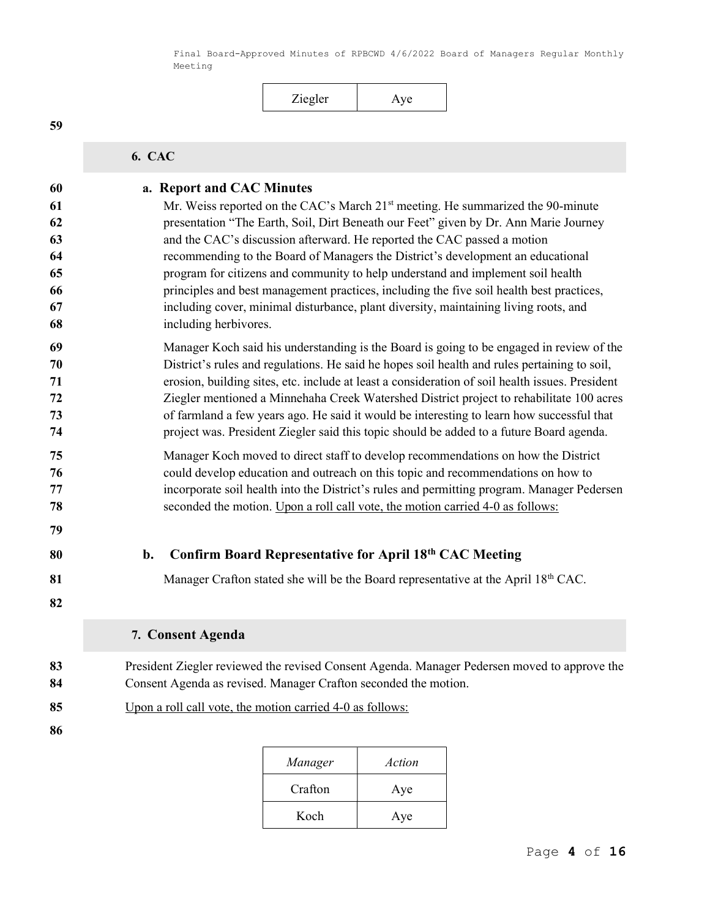Ziegler Aye 6. CAC 60 a. Report and CAC Minutes 61 Mr. Weiss reported on the CAC's March  $21<sup>st</sup>$  meeting. He summarized the 90-minute presentation "The Earth, Soil, Dirt Beneath our Feet" given by Dr. Ann Marie Journey and the CAC's discussion afterward. He reported the CAC passed a motion recommending to the Board of Managers the District's development an educational program for citizens and community to help understand and implement soil health principles and best management practices, including the five soil health best practices, including cover, minimal disturbance, plant diversity, maintaining living roots, and including herbivores. Manager Koch said his understanding is the Board is going to be engaged in review of the District's rules and regulations. He said he hopes soil health and rules pertaining to soil, erosion, building sites, etc. include at least a consideration of soil health issues. President Ziegler mentioned a Minnehaha Creek Watershed District project to rehabilitate 100 acres of farmland a few years ago. He said it would be interesting to learn how successful that project was. President Ziegler said this topic should be added to a future Board agenda. Manager Koch moved to direct staff to develop recommendations on how the District could develop education and outreach on this topic and recommendations on how to incorporate soil health into the District's rules and permitting program. Manager Pedersen seconded the motion. Upon a roll call vote, the motion carried 4-0 as follows: 80 b. Confirm Board Representative for April 18<sup>th</sup> CAC Meeting 81 Manager Crafton stated she will be the Board representative at the April  $18<sup>th</sup>$  CAC. 7. Consent Agenda **President Ziegler reviewed the revised Consent Agenda. Manager Pedersen moved to approve the** 84 Consent Agenda as revised. Manager Crafton seconded the motion. Upon a roll call vote, the motion carried 4-0 as follows: 

| Manager | Action |
|---------|--------|
| Crafton | Aye    |
| Koch    | Aye    |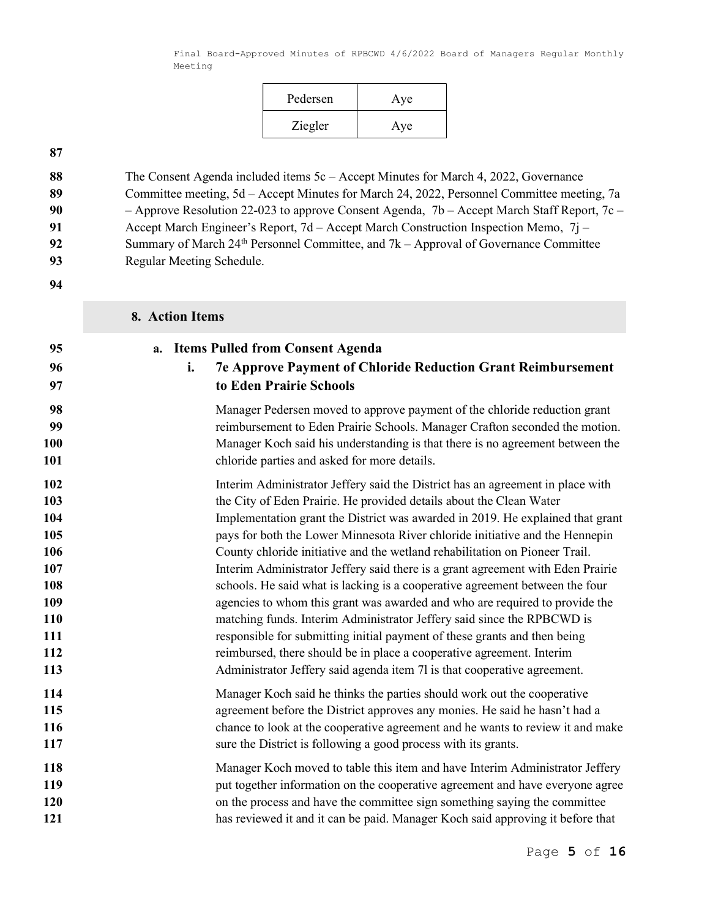| Pedersen | Aye |
|----------|-----|
| Ziegler  | Aye |

| 88 | The Consent Agenda included items $5c -$ Accept Minutes for March 4, 2022, Governance         |
|----|-----------------------------------------------------------------------------------------------|
| 89 | Committee meeting, 5d – Accept Minutes for March 24, 2022, Personnel Committee meeting, 7a    |
| 90 | - Approve Resolution 22-023 to approve Consent Agenda, $7b$ - Accept March Staff Report, 7c - |
| 91 | Accept March Engineer's Report, 7d – Accept March Construction Inspection Memo, 7j –          |
| 92 | Summary of March $24th$ Personnel Committee, and $7k -$ Approval of Governance Committee      |
| 93 | Regular Meeting Schedule.                                                                     |
| 94 |                                                                                               |

|                | 8. Action Items                                                                                                                                       |
|----------------|-------------------------------------------------------------------------------------------------------------------------------------------------------|
| 95<br>96<br>97 | <b>Items Pulled from Consent Agenda</b><br>a.<br><b>7e Approve Payment of Chloride Reduction Grant Reimbursement</b><br>i.<br>to Eden Prairie Schools |
| 98             | Manager Pedersen moved to approve payment of the chloride reduction grant                                                                             |
| 99             | reimbursement to Eden Prairie Schools. Manager Crafton seconded the motion.                                                                           |
| 100            | Manager Koch said his understanding is that there is no agreement between the                                                                         |
| 101            | chloride parties and asked for more details.                                                                                                          |
| 102            | Interim Administrator Jeffery said the District has an agreement in place with                                                                        |
| 103            | the City of Eden Prairie. He provided details about the Clean Water                                                                                   |
| 104            | Implementation grant the District was awarded in 2019. He explained that grant                                                                        |
| 105            | pays for both the Lower Minnesota River chloride initiative and the Hennepin                                                                          |
| 106            | County chloride initiative and the wetland rehabilitation on Pioneer Trail.                                                                           |
| 107            | Interim Administrator Jeffery said there is a grant agreement with Eden Prairie                                                                       |
| 108            | schools. He said what is lacking is a cooperative agreement between the four                                                                          |
| 109            | agencies to whom this grant was awarded and who are required to provide the                                                                           |
| 110            | matching funds. Interim Administrator Jeffery said since the RPBCWD is                                                                                |
| 111            | responsible for submitting initial payment of these grants and then being                                                                             |
| 112            | reimbursed, there should be in place a cooperative agreement. Interim                                                                                 |
| 113            | Administrator Jeffery said agenda item 7l is that cooperative agreement.                                                                              |
| 114            | Manager Koch said he thinks the parties should work out the cooperative                                                                               |
| 115            | agreement before the District approves any monies. He said he hasn't had a                                                                            |
| 116            | chance to look at the cooperative agreement and he wants to review it and make                                                                        |
| 117            | sure the District is following a good process with its grants.                                                                                        |
| 118            | Manager Koch moved to table this item and have Interim Administrator Jeffery                                                                          |
| 119            | put together information on the cooperative agreement and have everyone agree                                                                         |
| 120            | on the process and have the committee sign something saying the committee                                                                             |
| 121            | has reviewed it and it can be paid. Manager Koch said approving it before that                                                                        |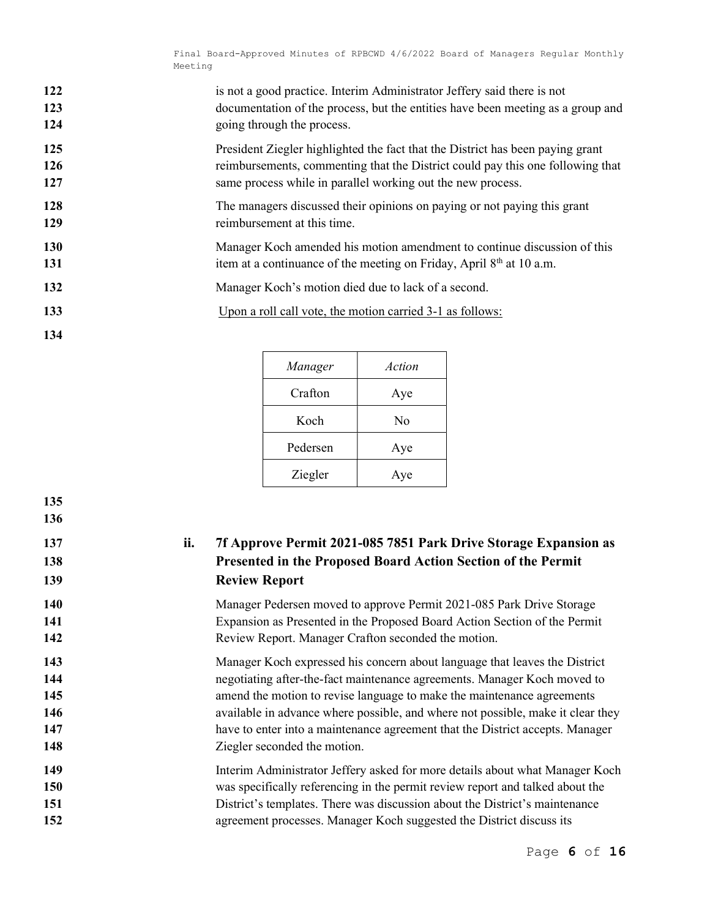| 122 | is not a good practice. Interim Administrator Jeffery said there is not         |
|-----|---------------------------------------------------------------------------------|
| 123 | documentation of the process, but the entities have been meeting as a group and |
| 124 | going through the process.                                                      |
| 125 | President Ziegler highlighted the fact that the District has been paying grant  |
| 126 | reimbursements, commenting that the District could pay this one following that  |
| 127 | same process while in parallel working out the new process.                     |
| 128 | The managers discussed their opinions on paying or not paying this grant        |
| 129 | reimbursement at this time.                                                     |
| 130 | Manager Koch amended his motion amendment to continue discussion of this        |
| 131 | item at a continuance of the meeting on Friday, April $8th$ at 10 a.m.          |
| 132 | Manager Koch's motion died due to lack of a second.                             |
| 133 | Upon a roll call vote, the motion carried 3-1 as follows:                       |
| 134 |                                                                                 |

| Manager  | Action |
|----------|--------|
| Crafton  | Aye    |
| Koch     | No     |
| Pedersen | Aye    |
| Ziegler  | Aye    |

| 1JV |     |                                                                                 |
|-----|-----|---------------------------------------------------------------------------------|
| 137 | ii. | 7f Approve Permit 2021-085 7851 Park Drive Storage Expansion as                 |
| 138 |     | Presented in the Proposed Board Action Section of the Permit                    |
| 139 |     | <b>Review Report</b>                                                            |
| 140 |     | Manager Pedersen moved to approve Permit 2021-085 Park Drive Storage            |
| 141 |     | Expansion as Presented in the Proposed Board Action Section of the Permit       |
| 142 |     | Review Report. Manager Crafton seconded the motion.                             |
| 143 |     | Manager Koch expressed his concern about language that leaves the District      |
| 144 |     | negotiating after-the-fact maintenance agreements. Manager Koch moved to        |
| 145 |     | amend the motion to revise language to make the maintenance agreements          |
| 146 |     | available in advance where possible, and where not possible, make it clear they |
| 147 |     | have to enter into a maintenance agreement that the District accepts. Manager   |
| 148 |     | Ziegler seconded the motion.                                                    |
| 149 |     | Interim Administrator Jeffery asked for more details about what Manager Koch    |
| 150 |     | was specifically referencing in the permit review report and talked about the   |
| 151 |     | District's templates. There was discussion about the District's maintenance     |
| 152 |     | agreement processes. Manager Koch suggested the District discuss its            |
|     |     |                                                                                 |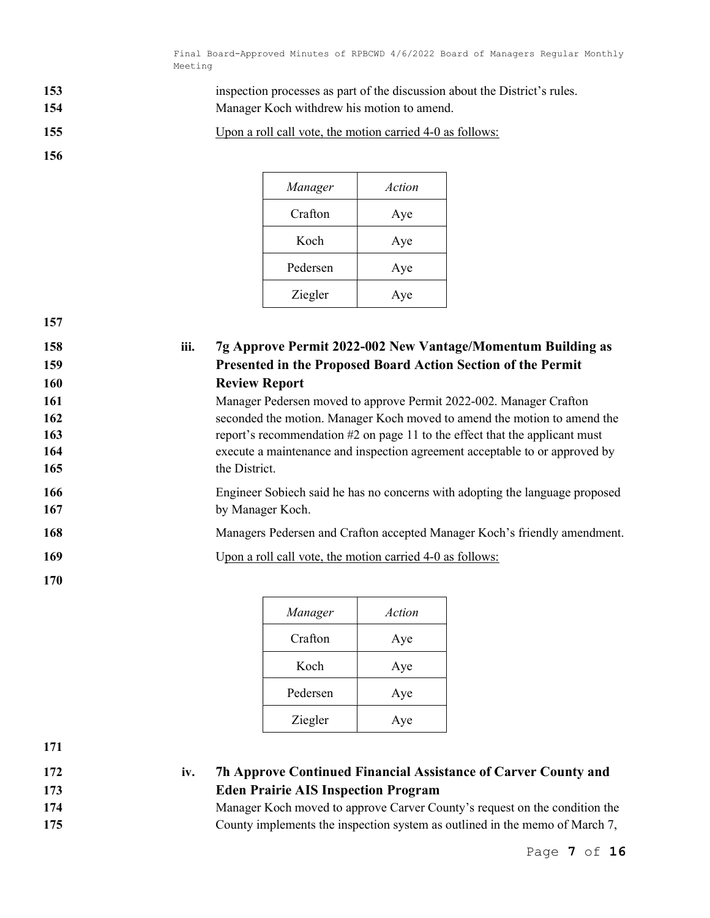153 inspection processes as part of the discussion about the District's rules.

154 Manager Koch withdrew his motion to amend.

155 Upon a roll call vote, the motion carried 4-0 as follows:

Manager Action Crafton Aye Koch Aye Pedersen Aye Ziegler Aye

157

156

| 158<br>159 | iii. | 7g Approve Permit 2022-002 New Vantage/Momentum Building as<br>Presented in the Proposed Board Action Section of the Permit |
|------------|------|-----------------------------------------------------------------------------------------------------------------------------|
| <b>160</b> |      | <b>Review Report</b>                                                                                                        |
| 161        |      | Manager Pedersen moved to approve Permit 2022-002. Manager Crafton                                                          |
| 162        |      | seconded the motion. Manager Koch moved to amend the motion to amend the                                                    |
| 163        |      | report's recommendation $#2$ on page 11 to the effect that the applicant must                                               |
| 164        |      | execute a maintenance and inspection agreement acceptable to or approved by                                                 |
| 165        |      | the District.                                                                                                               |
| 166        |      | Engineer Sobiech said he has no concerns with adopting the language proposed                                                |
| 167        |      | by Manager Koch.                                                                                                            |
| 168        |      | Managers Pedersen and Crafton accepted Manager Koch's friendly amendment.                                                   |
| 169        |      | Upon a roll call vote, the motion carried 4-0 as follows:                                                                   |
| 170        |      |                                                                                                                             |

| Manager  | Action |
|----------|--------|
| Crafton  | Aye    |
| Koch     | Aye    |
| Pedersen | Aye    |
| Ziegler  | Aye    |

- 172 iv. 7h Approve Continued Financial Assistance of Carver County and 173 Eden Prairie AIS Inspection Program
- 174 Manager Koch moved to approve Carver County's request on the condition the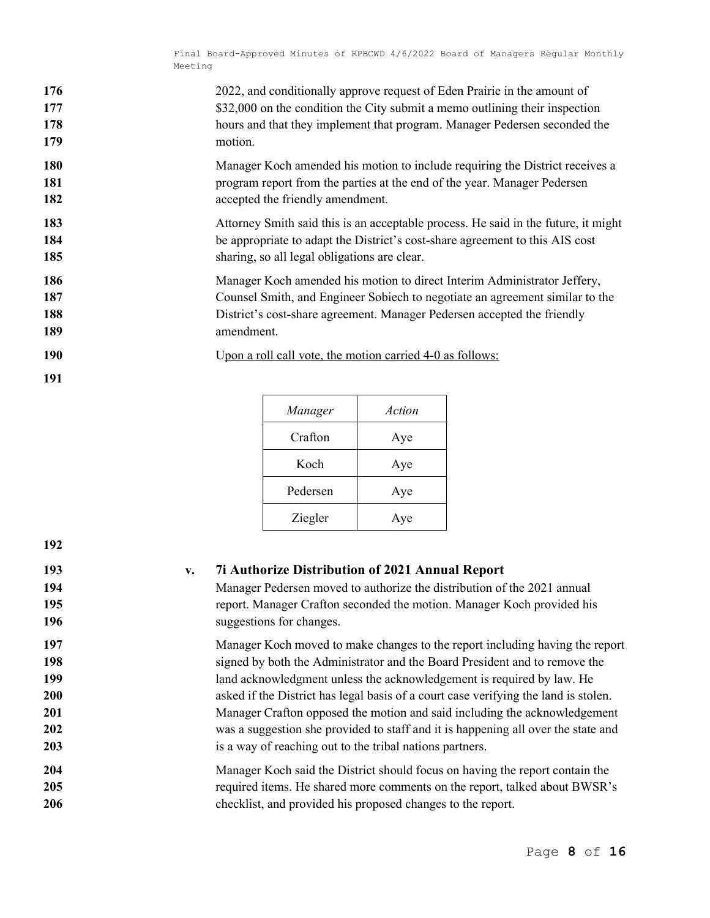| 176 | 2022, and conditionally approve request of Eden Prairie in the amount of    |
|-----|-----------------------------------------------------------------------------|
| 177 | \$32,000 on the condition the City submit a memo outlining their inspection |
| 178 | hours and that they implement that program. Manager Pedersen seconded the   |
| 179 | motion.                                                                     |

- 180 Manager Koch amended his motion to include requiring the District receives a 181 program report from the parties at the end of the year. Manager Pedersen 182 accepted the friendly amendment.
- 183 Attorney Smith said this is an acceptable process. He said in the future, it might 184 be appropriate to adapt the District's cost-share agreement to this AIS cost 185 sharing, so all legal obligations are clear.
- 186 Manager Koch amended his motion to direct Interim Administrator Jeffery, 187 Counsel Smith, and Engineer Sobiech to negotiate an agreement similar to the 188 District's cost-share agreement. Manager Pedersen accepted the friendly 189 amendment.
- 190 Upon a roll call vote, the motion carried 4-0 as follows:
- 191

| Manager  | Action |
|----------|--------|
| Crafton  | Aye    |
| Koch     | Aye    |
| Pedersen | Aye    |
| Ziegler  | Aye    |

| 192                      |                                                                                                                                                                                                                                                          |
|--------------------------|----------------------------------------------------------------------------------------------------------------------------------------------------------------------------------------------------------------------------------------------------------|
| 193<br>194<br>195<br>196 | <b>7i Authorize Distribution of 2021 Annual Report</b><br>$V_{\bullet}$<br>Manager Pedersen moved to authorize the distribution of the 2021 annual<br>report. Manager Crafton seconded the motion. Manager Koch provided his<br>suggestions for changes. |
| 197                      | Manager Koch moved to make changes to the report including having the report                                                                                                                                                                             |
| 198                      | signed by both the Administrator and the Board President and to remove the                                                                                                                                                                               |
| 199                      | land acknowledgment unless the acknowledgement is required by law. He                                                                                                                                                                                    |
| 200                      | asked if the District has legal basis of a court case verifying the land is stolen.                                                                                                                                                                      |
| <b>201</b>               | Manager Crafton opposed the motion and said including the acknowledgement                                                                                                                                                                                |
| <b>202</b>               | was a suggestion she provided to staff and it is happening all over the state and                                                                                                                                                                        |
| 203                      | is a way of reaching out to the tribal nations partners.                                                                                                                                                                                                 |
| 204                      | Manager Koch said the District should focus on having the report contain the                                                                                                                                                                             |
| 205                      | required items. He shared more comments on the report, talked about BWSR's                                                                                                                                                                               |
| <b>206</b>               | checklist, and provided his proposed changes to the report.                                                                                                                                                                                              |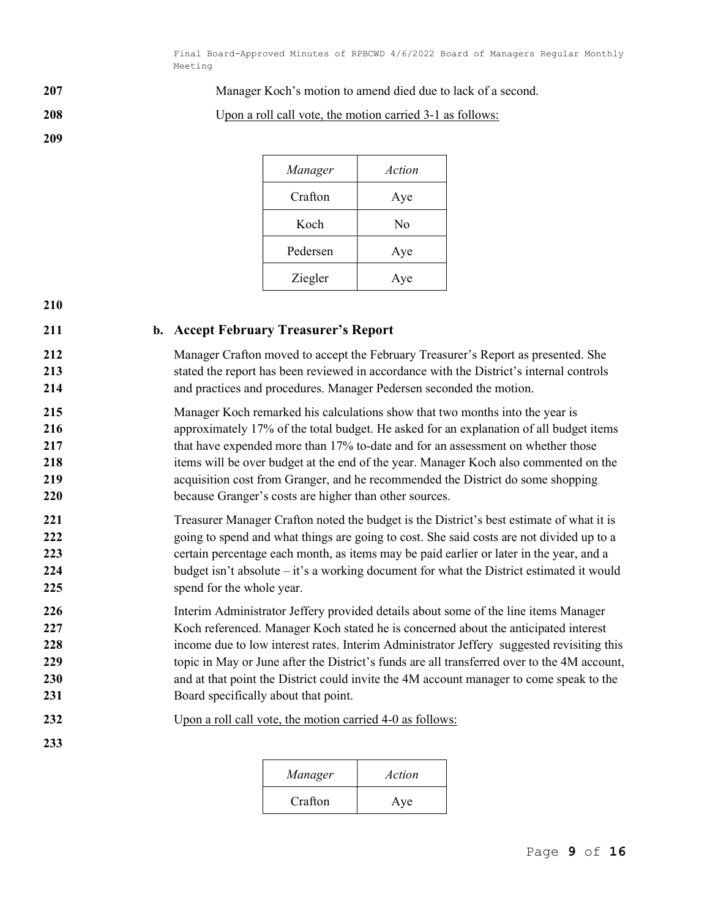207 Manager Koch's motion to amend died due to lack of a second.

208 Upon a roll call vote, the motion carried 3-1 as follows:

| Manager  | Action |
|----------|--------|
| Crafton  | Aye    |
| Koch     | No     |
| Pedersen | Aye    |
| Ziegler  | Aye    |

210

209

## 211 b. Accept February Treasurer's Report

212 Manager Crafton moved to accept the February Treasurer's Report as presented. She 213 stated the report has been reviewed in accordance with the District's internal controls 214 and practices and procedures. Manager Pedersen seconded the motion.

215 Manager Koch remarked his calculations show that two months into the year is 216 **approximately 17% of the total budget. He asked for an explanation of all budget items** 217 that have expended more than 17% to-date and for an assessment on whether those 218 items will be over budget at the end of the year. Manager Koch also commented on the 219 acquisition cost from Granger, and he recommended the District do some shopping 220 because Granger's costs are higher than other sources.

- 221 Treasurer Manager Crafton noted the budget is the District's best estimate of what it is 222 going to spend and what things are going to cost. She said costs are not divided up to a 223 certain percentage each month, as items may be paid earlier or later in the year, and a 224 budget isn't absolute – it's a working document for what the District estimated it would 225 spend for the whole year.
- 226 Interim Administrator Jeffery provided details about some of the line items Manager 227 Koch referenced. Manager Koch stated he is concerned about the anticipated interest 228 income due to low interest rates. Interim Administrator Jeffery suggested revisiting this 229 topic in May or June after the District's funds are all transferred over to the 4M account, 230 and at that point the District could invite the 4M account manager to come speak to the 231 Board specifically about that point.
- 232 Upon a roll call vote, the motion carried 4-0 as follows:
- 233

|  |  |  | Upon a roll call vote, the motion carried 4-0 as follows |  |  |  |
|--|--|--|----------------------------------------------------------|--|--|--|
|  |  |  |                                                          |  |  |  |

| Manager | Action |
|---------|--------|
| Crafton | Aye    |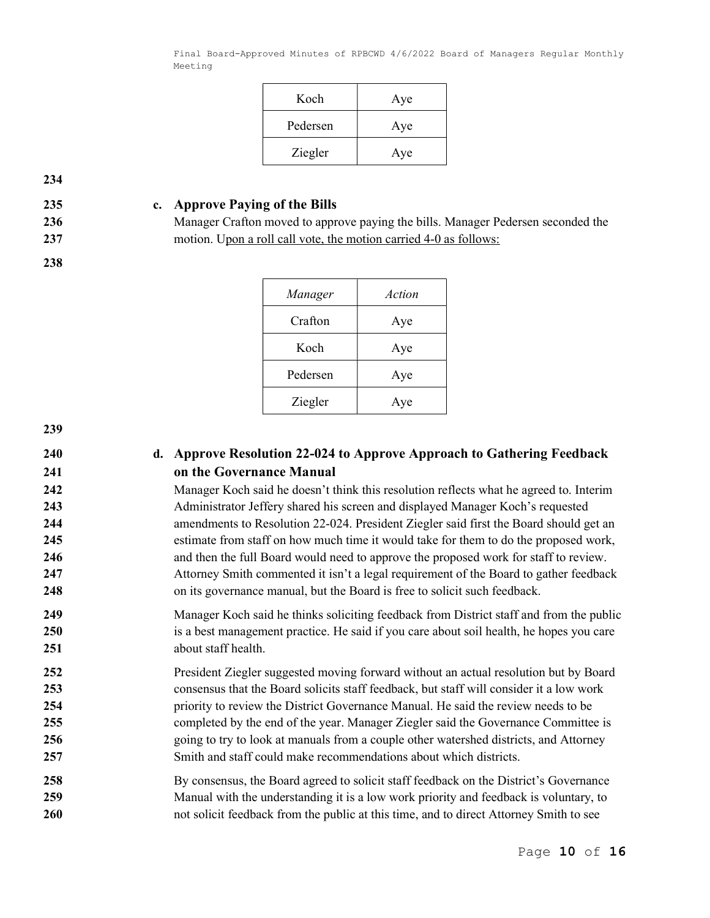| Koch     | Aye |
|----------|-----|
| Pedersen | Aye |
| Ziegler  | Aye |

234

238

## 235 c. Approve Paying of the Bills

236 Manager Crafton moved to approve paying the bills. Manager Pedersen seconded the 237 motion. Upon a roll call vote, the motion carried 4-0 as follows:

| Manager  | Action |
|----------|--------|
| Crafton  | Aye    |
| Koch     | Aye    |
| Pedersen | Aye    |
| Ziegler  | Aye    |

239

# 240 d. Approve Resolution 22-024 to Approve Approach to Gathering Feedback 241 on the Governance Manual

242 Manager Koch said he doesn't think this resolution reflects what he agreed to. Interim 243 Administrator Jeffery shared his screen and displayed Manager Koch's requested 244 **amendments to Resolution 22-024. President Ziegler said first the Board should get an** 245 estimate from staff on how much time it would take for them to do the proposed work, 246 and then the full Board would need to approve the proposed work for staff to review. 247 Attorney Smith commented it isn't a legal requirement of the Board to gather feedback 248 on its governance manual, but the Board is free to solicit such feedback.

249 Manager Koch said he thinks soliciting feedback from District staff and from the public 250 is a best management practice. He said if you care about soil health, he hopes you care 251 about staff health.

President Ziegler suggested moving forward without an actual resolution but by Board consensus that the Board solicits staff feedback, but staff will consider it a low work priority to review the District Governance Manual. He said the review needs to be completed by the end of the year. Manager Ziegler said the Governance Committee is 256 going to try to look at manuals from a couple other watershed districts, and Attorney Smith and staff could make recommendations about which districts.

258 By consensus, the Board agreed to solicit staff feedback on the District's Governance 259 Manual with the understanding it is a low work priority and feedback is voluntary, to 260 hot solicit feedback from the public at this time, and to direct Attorney Smith to see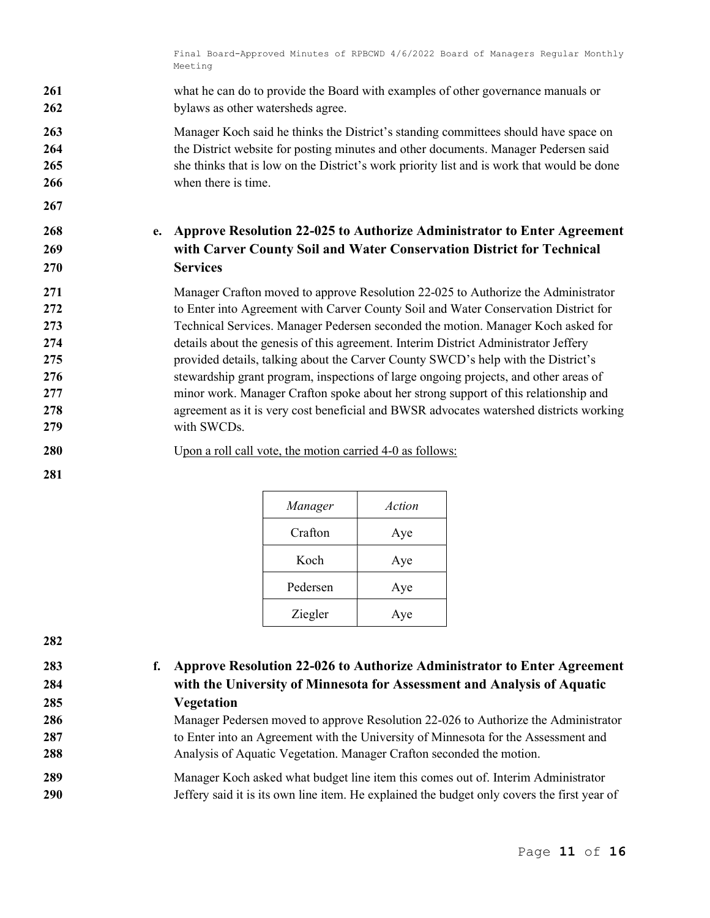261 what he can do to provide the Board with examples of other governance manuals or 262 bylaws as other watersheds agree.

263 Manager Koch said he thinks the District's standing committees should have space on 264 the District website for posting minutes and other documents. Manager Pedersen said 265 she thinks that is low on the District's work priority list and is work that would be done 266 when there is time.

# 268 e. Approve Resolution 22-025 to Authorize Administrator to Enter Agreement 269 with Carver County Soil and Water Conservation District for Technical 270 Services

271 Manager Crafton moved to approve Resolution 22-025 to Authorize the Administrator 272 to Enter into Agreement with Carver County Soil and Water Conservation District for 273 Technical Services. Manager Pedersen seconded the motion. Manager Koch asked for 274 details about the genesis of this agreement. Interim District Administrator Jeffery 275 provided details, talking about the Carver County SWCD's help with the District's 276 stewardship grant program, inspections of large ongoing projects, and other areas of 277 minor work. Manager Crafton spoke about her strong support of this relationship and 278 agreement as it is very cost beneficial and BWSR advocates watershed districts working 279 with SWCDs.

280 Upon a roll call vote, the motion carried 4-0 as follows:

| Manager  | Action |
|----------|--------|
| Crafton  | Aye    |
| Koch     | Aye    |
| Pedersen | Aye    |
| Ziegler  | Aye    |

282

281

267

285 Vegetation

# 283 f. Approve Resolution 22-026 to Authorize Administrator to Enter Agreement 284 with the University of Minnesota for Assessment and Analysis of Aquatic

286 Manager Pedersen moved to approve Resolution 22-026 to Authorize the Administrator 287 to Enter into an Agreement with the University of Minnesota for the Assessment and 288 Analysis of Aquatic Vegetation. Manager Crafton seconded the motion.

289 Manager Koch asked what budget line item this comes out of. Interim Administrator 290 Jeffery said it is its own line item. He explained the budget only covers the first year of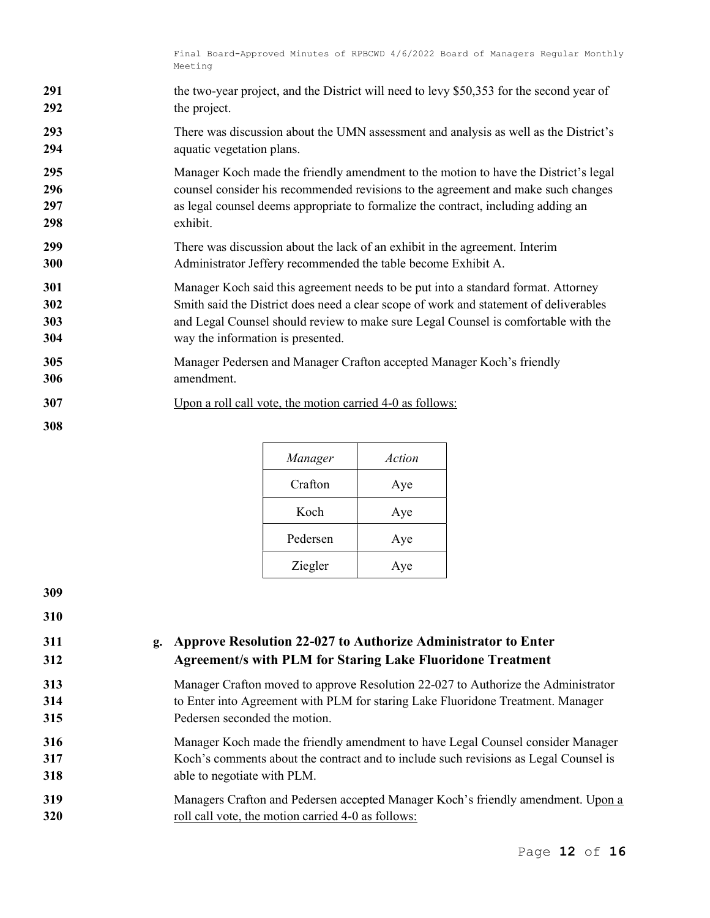| 291 | the two-year project, and the District will need to levy \$50,353 for the second year of |
|-----|------------------------------------------------------------------------------------------|
| 292 | the project.                                                                             |
| 293 | There was discussion about the UMN assessment and analysis as well as the District's     |
| 294 | aquatic vegetation plans.                                                                |
| 295 | Manager Koch made the friendly amendment to the motion to have the District's legal      |
| 296 | counsel consider his recommended revisions to the agreement and make such changes        |
| 297 | as legal counsel deems appropriate to formalize the contract, including adding an        |
| 298 | exhibit.                                                                                 |
| 299 | There was discussion about the lack of an exhibit in the agreement. Interim              |
| 300 | Administrator Jeffery recommended the table become Exhibit A.                            |
| 301 | Manager Koch said this agreement needs to be put into a standard format. Attorney        |
| 302 | Smith said the District does need a clear scope of work and statement of deliverables    |
| 303 | and Legal Counsel should review to make sure Legal Counsel is comfortable with the       |
| 304 | way the information is presented.                                                        |
| 305 | Manager Pedersen and Manager Crafton accepted Manager Koch's friendly                    |
| 306 | amendment.                                                                               |
| 307 | Upon a roll call vote, the motion carried 4-0 as follows:                                |
| 308 |                                                                                          |

| Manager  | Action |
|----------|--------|
| Crafton  | Aye    |
| Koch     | Aye    |
| Pedersen | Aye    |
| Ziegler  | Aye    |

# 311 g. Approve Resolution 22-027 to Authorize Administrator to Enter Agreement/s with PLM for Staring Lake Fluoridone Treatment

Manager Crafton moved to approve Resolution 22-027 to Authorize the Administrator to Enter into Agreement with PLM for staring Lake Fluoridone Treatment. Manager Pedersen seconded the motion.

Manager Koch made the friendly amendment to have Legal Counsel consider Manager Koch's comments about the contract and to include such revisions as Legal Counsel is able to negotiate with PLM.

Managers Crafton and Pedersen accepted Manager Koch's friendly amendment. Upon a 320 roll call vote, the motion carried 4-0 as follows: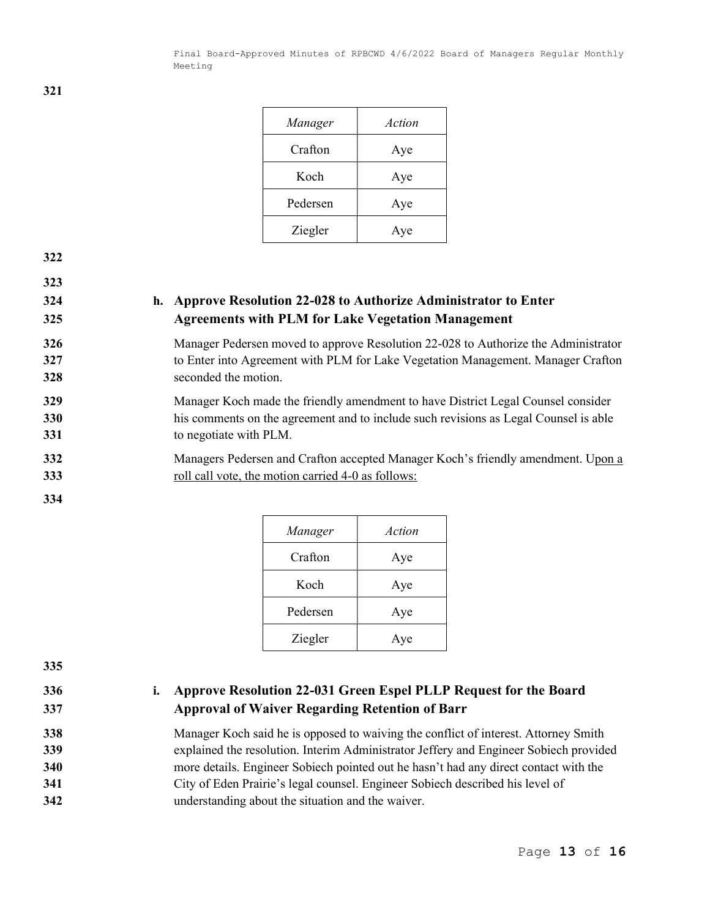| Manager  | Action |
|----------|--------|
| Crafton  | Aye    |
| Koch     | Aye    |
| Pedersen | Aye    |
| Ziegler  | Aye    |

323

# 324 h. Approve Resolution 22-028 to Authorize Administrator to Enter 325 Agreements with PLM for Lake Vegetation Management

# 326 Manager Pedersen moved to approve Resolution 22-028 to Authorize the Administrator 327 to Enter into Agreement with PLM for Lake Vegetation Management. Manager Crafton 328 seconded the motion.

329 Manager Koch made the friendly amendment to have District Legal Counsel consider 330 his comments on the agreement and to include such revisions as Legal Counsel is able 331 to negotiate with PLM.

- 332 Managers Pedersen and Crafton accepted Manager Koch's friendly amendment. Upon a 333 roll call vote, the motion carried 4-0 as follows:
- 334

| Manager  | Action |
|----------|--------|
| Crafton  | Aye    |
| Koch     | Aye    |
| Pedersen | Aye    |
| Ziegler  | Aye    |

335

# 336 i. Approve Resolution 22-031 Green Espel PLLP Request for the Board 337 Approval of Waiver Regarding Retention of Barr

Manager Koch said he is opposed to waiving the conflict of interest. Attorney Smith explained the resolution. Interim Administrator Jeffery and Engineer Sobiech provided more details. Engineer Sobiech pointed out he hasn't had any direct contact with the City of Eden Prairie's legal counsel. Engineer Sobiech described his level of understanding about the situation and the waiver.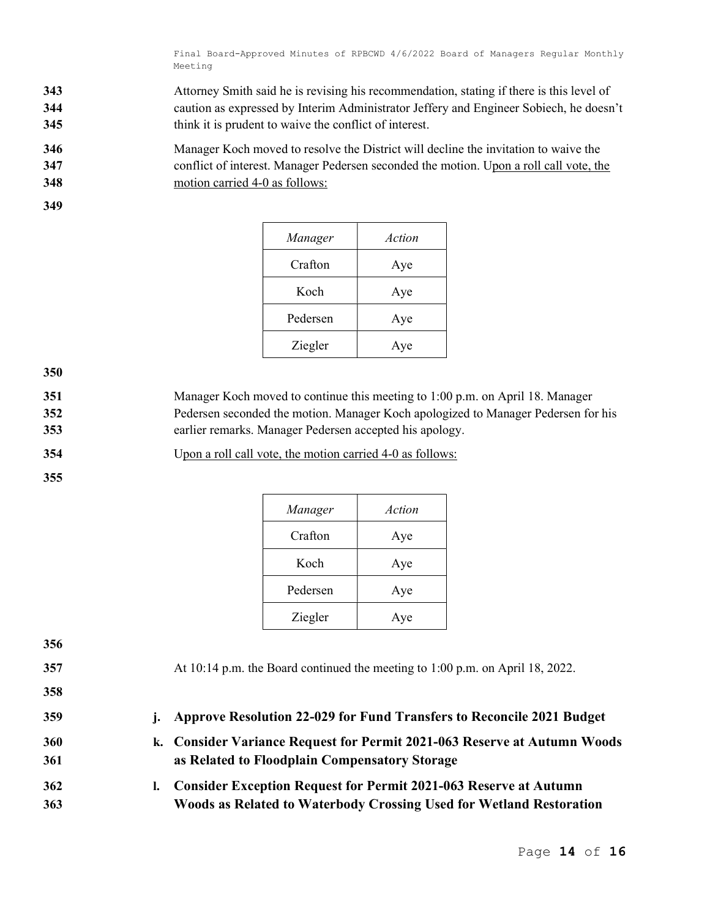- 343 Attorney Smith said he is revising his recommendation, stating if there is this level of 344 caution as expressed by Interim Administrator Jeffery and Engineer Sobiech, he doesn't 345 think it is prudent to waive the conflict of interest.
- 346 Manager Koch moved to resolve the District will decline the invitation to waive the 347 conflict of interest. Manager Pedersen seconded the motion. Upon a roll call vote, the 348 motion carried 4-0 as follows:
- 349

| Manager  | Action |
|----------|--------|
| Crafton  | Aye    |
| Koch     | Aye    |
| Pedersen | Aye    |
| Ziegler  | Aye    |

350

- 351 Manager Koch moved to continue this meeting to 1:00 p.m. on April 18. Manager 352 Pedersen seconded the motion. Manager Koch apologized to Manager Pedersen for his 353 earlier remarks. Manager Pedersen accepted his apology.
- 354 Upon a roll call vote, the motion carried 4-0 as follows:

| Manager  | Action |
|----------|--------|
| Crafton  | Aye    |
| Koch     | Aye    |
| Pedersen | Aye    |
| Ziegler  | Ave    |

| 356 |                |                                                                               |
|-----|----------------|-------------------------------------------------------------------------------|
| 357 |                | At 10:14 p.m. the Board continued the meeting to 1:00 p.m. on April 18, 2022. |
| 358 |                |                                                                               |
| 359 | $\mathbf{i}$ . | <b>Approve Resolution 22-029 for Fund Transfers to Reconcile 2021 Budget</b>  |
| 360 |                | k. Consider Variance Request for Permit 2021-063 Reserve at Autumn Woods      |
| 361 |                | as Related to Floodplain Compensatory Storage                                 |
| 362 | I.             | <b>Consider Exception Request for Permit 2021-063 Reserve at Autumn</b>       |
| 363 |                | <b>Woods as Related to Waterbody Crossing Used for Wetland Restoration</b>    |
|     |                |                                                                               |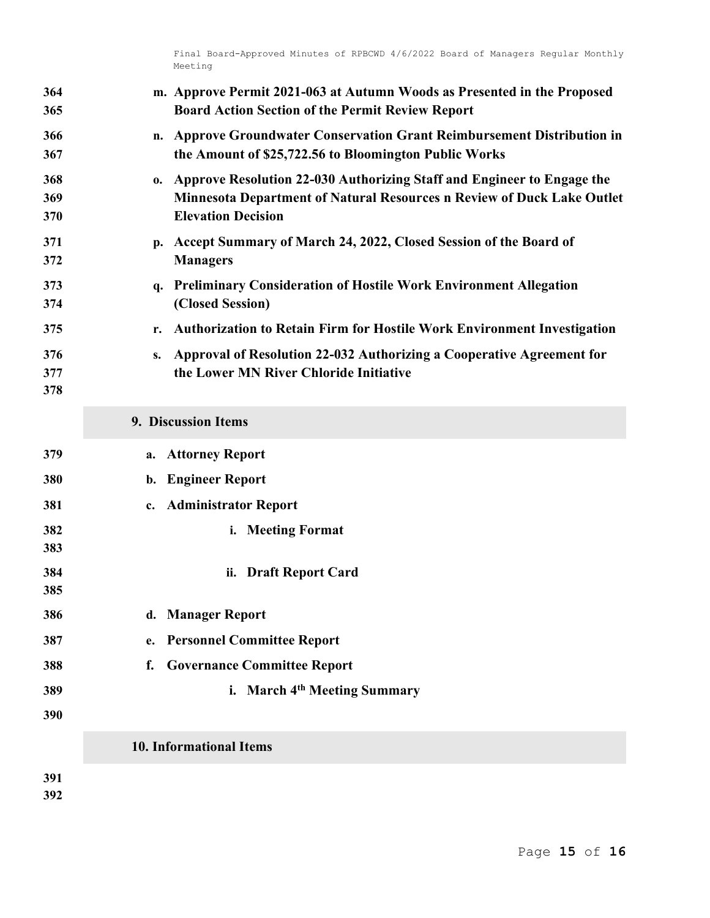| 364<br>365        | m. Approve Permit 2021-063 at Autumn Woods as Presented in the Proposed<br><b>Board Action Section of the Permit Review Report</b>                                                  |
|-------------------|-------------------------------------------------------------------------------------------------------------------------------------------------------------------------------------|
| 366<br>367        | n. Approve Groundwater Conservation Grant Reimbursement Distribution in<br>the Amount of \$25,722.56 to Bloomington Public Works                                                    |
| 368<br>369<br>370 | Approve Resolution 22-030 Authorizing Staff and Engineer to Engage the<br>0.<br>Minnesota Department of Natural Resources n Review of Duck Lake Outlet<br><b>Elevation Decision</b> |
| 371<br>372        | p. Accept Summary of March 24, 2022, Closed Session of the Board of<br><b>Managers</b>                                                                                              |
| 373<br>374        | q. Preliminary Consideration of Hostile Work Environment Allegation<br>(Closed Session)                                                                                             |
| 375               | <b>Authorization to Retain Firm for Hostile Work Environment Investigation</b><br>r.                                                                                                |
| 376<br>377<br>378 | Approval of Resolution 22-032 Authorizing a Cooperative Agreement for<br>S.<br>the Lower MN River Chloride Initiative                                                               |
|                   | 9. Discussion Items                                                                                                                                                                 |
| 379               | <b>Attorney Report</b><br>a.                                                                                                                                                        |
| 380               | <b>Engineer Report</b><br>b.                                                                                                                                                        |
| 381               | c. Administrator Report                                                                                                                                                             |
| 382<br>383        | i. Meeting Format                                                                                                                                                                   |
| 384<br>385        | ii. Draft Report Card                                                                                                                                                               |
| 386               | d. Manager Report                                                                                                                                                                   |
| 387               | <b>Personnel Committee Report</b><br>e.                                                                                                                                             |
| 388               | <b>Governance Committee Report</b><br>f.                                                                                                                                            |
| 389<br>390        | i. March 4th Meeting Summary                                                                                                                                                        |
|                   | <b>10. Informational Items</b>                                                                                                                                                      |
| 391<br>392        |                                                                                                                                                                                     |